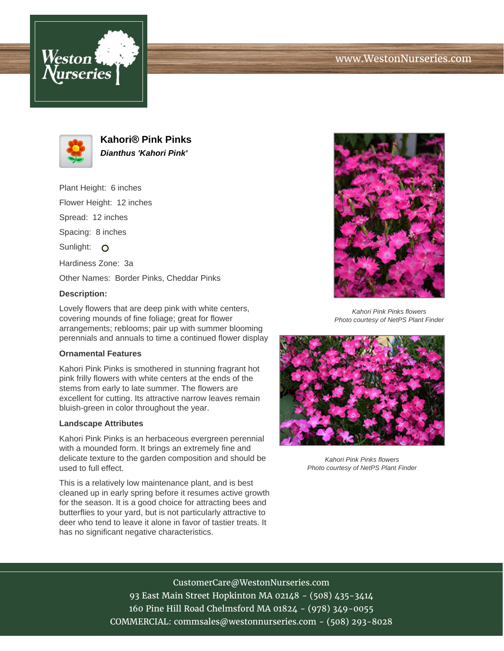



**Kahori® Pink Pinks Dianthus 'Kahori Pink'**

Plant Height: 6 inches Flower Height: 12 inches Spread: 12 inches Spacing: 8 inches Sunlight: O Hardiness Zone: 3a Other Names: Border Pinks, Cheddar Pinks

## **Description:**

Lovely flowers that are deep pink with white centers, covering mounds of fine foliage; great for flower arrangements; reblooms; pair up with summer blooming perennials and annuals to time a continued flower display

#### **Ornamental Features**

Kahori Pink Pinks is smothered in stunning fragrant hot pink frilly flowers with white centers at the ends of the stems from early to late summer. The flowers are excellent for cutting. Its attractive narrow leaves remain bluish-green in color throughout the year.

#### **Landscape Attributes**

Kahori Pink Pinks is an herbaceous evergreen perennial with a mounded form. It brings an extremely fine and delicate texture to the garden composition and should be used to full effect.

This is a relatively low maintenance plant, and is best cleaned up in early spring before it resumes active growth for the season. It is a good choice for attracting bees and butterflies to your yard, but is not particularly attractive to deer who tend to leave it alone in favor of tastier treats. It has no significant negative characteristics.



Kahori Pink Pinks flowers Photo courtesy of NetPS Plant Finder



Kahori Pink Pinks flowers Photo courtesy of NetPS Plant Finder

# CustomerCare@WestonNurseries.com 93 East Main Street Hopkinton MA 02148 - (508) 435-3414 160 Pine Hill Road Chelmsford MA 01824 - (978) 349-0055 COMMERCIAL: commsales@westonnurseries.com - (508) 293-8028